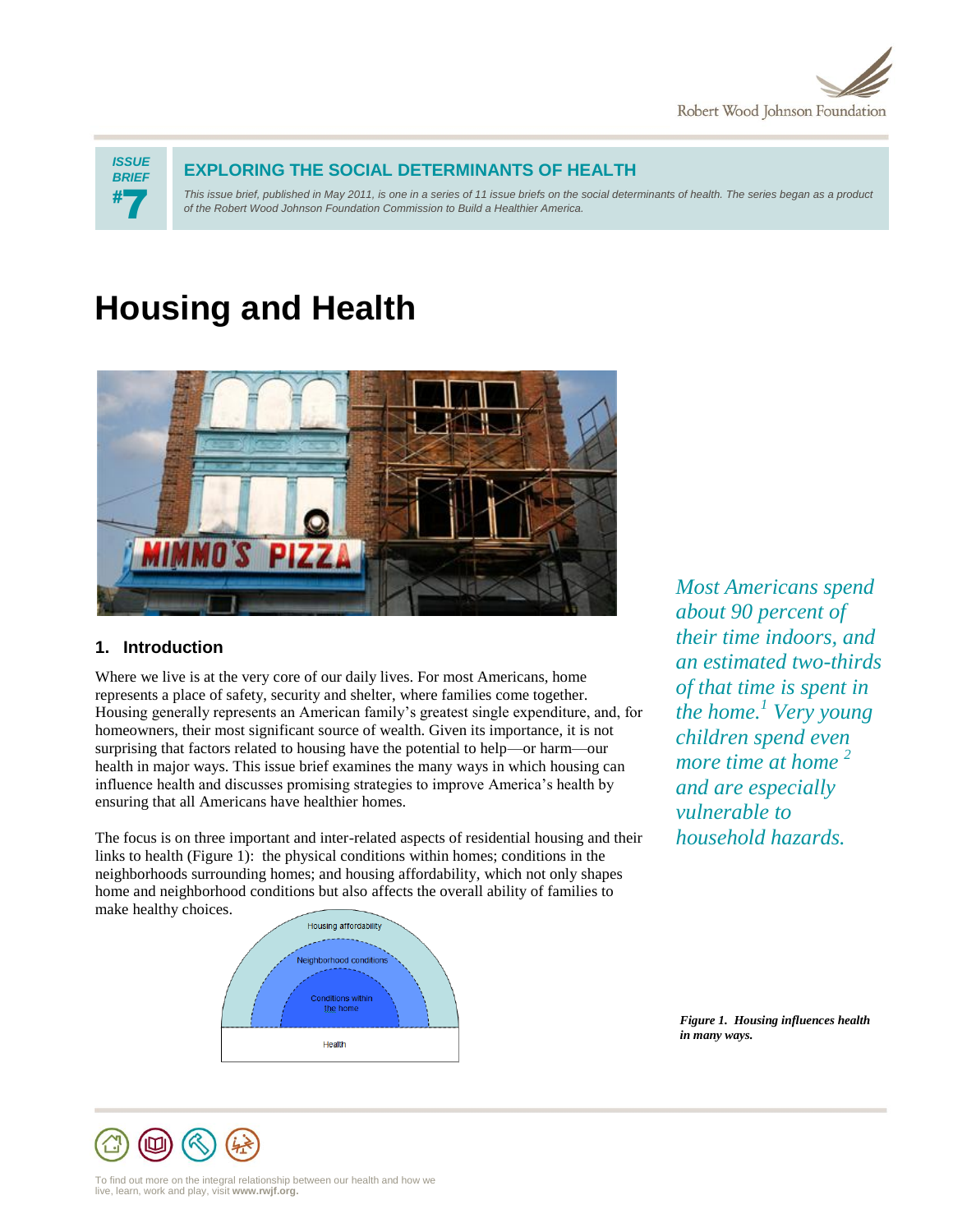



## **EXPLORING THE SOCIAL DETERMINANTS OF HEALTH**

*This issue brief, published in May 2011, is one in a series of 11 issue briefs on the social determinants of health. The series began as a product of the Robert Wood Johnson Foundation Commission to Build a Healthier America.*

# **Housing and Health**



## **1. Introduction**

Where we live is at the very core of our daily lives. For most Americans, home represents a place of safety, security and shelter, where families come together. Housing generally represents an American family's greatest single expenditure, and, for homeowners, their most significant source of wealth. Given its importance, it is not surprising that factors related to housing have the potential to help—or harm—our health in major ways. This issue brief examines the many ways in which housing can influence health and discusses promising strategies to improve America's health by ensuring that all Americans have healthier homes.

The focus is on three important and inter-related aspects of residential housing and their links to health (Figure 1): the physical conditions within homes; conditions in the neighborhoods surrounding homes; and housing affordability, which not only shapes home and neighborhood conditions but also affects the overall ability of families to make healthy choices.

*Most Americans spend about 90 percent of their time indoors, and an estimated two-thirds of that time is spent in the home.<sup>1</sup> Very young children spend even more time at home <sup>2</sup> and are especially vulnerable to household hazards.*



*Figure 1. Housing influences health in many ways.*

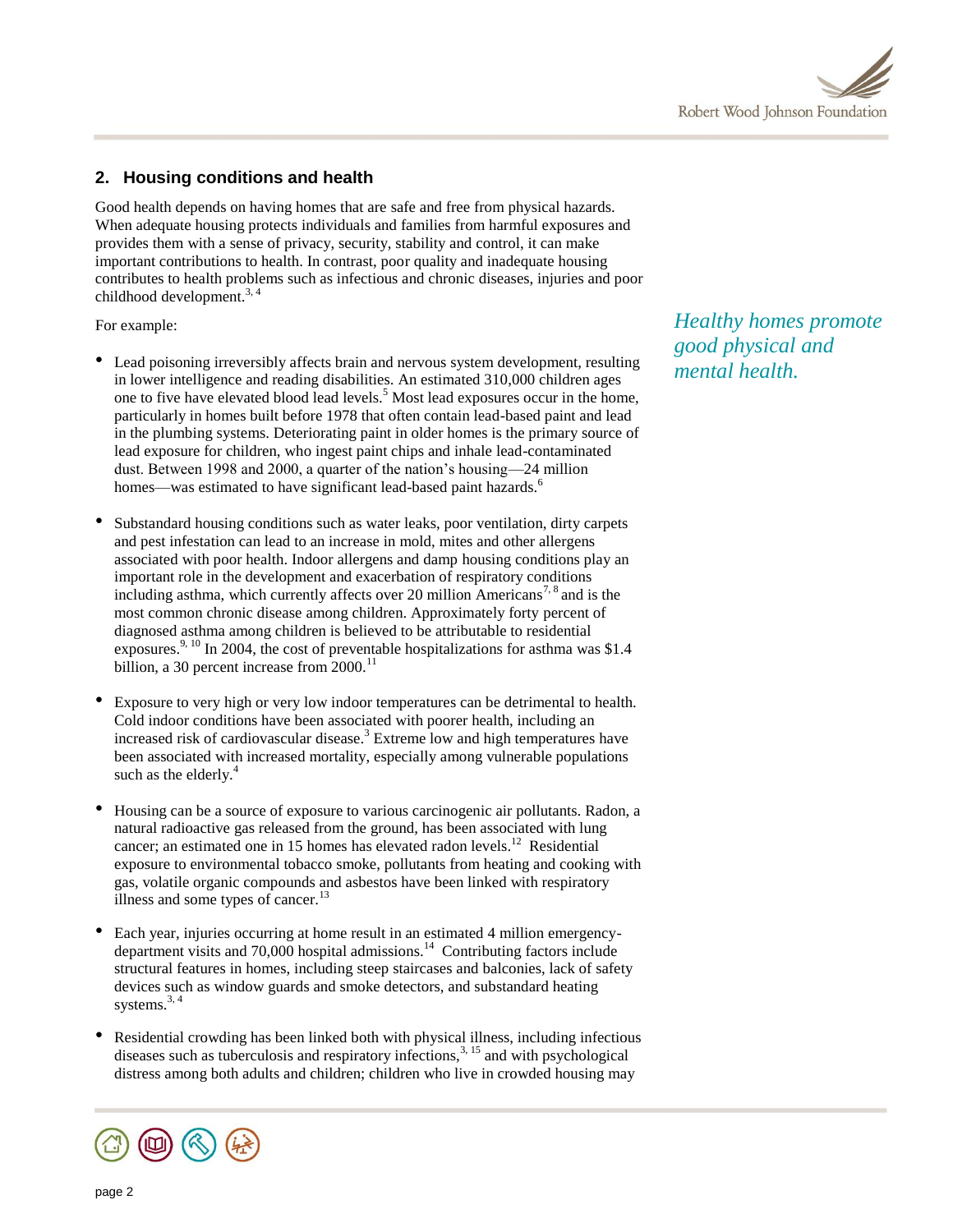

# **2. Housing conditions and health**

Good health depends on having homes that are safe and free from physical hazards. When adequate housing protects individuals and families from harmful exposures and provides them with a sense of privacy, security, stability and control, it can make important contributions to health. In contrast, poor quality and inadequate housing contributes to health problems such as infectious and chronic diseases, injuries and poor childhood development.<sup>3, 4</sup>

For example:

- Lead poisoning irreversibly affects brain and nervous system development, resulting in lower intelligence and reading disabilities. An estimated 310,000 children ages one to five have elevated blood lead levels.<sup>5</sup> Most lead exposures occur in the home, particularly in homes built before 1978 that often contain lead-based paint and lead in the plumbing systems. Deteriorating paint in older homes is the primary source of lead exposure for children, who ingest paint chips and inhale lead-contaminated dust. Between 1998 and 2000, a quarter of the nation's housing—24 million homes—was estimated to have significant lead-based paint hazards.<sup>6</sup>
- Substandard housing conditions such as water leaks, poor ventilation, dirty carpets and pest infestation can lead to an increase in mold, mites and other allergens associated with poor health. Indoor allergens and damp housing conditions play an important role in the development and exacerbation of respiratory conditions including asthma, which currently affects over 20 million Americans<sup>7, 8</sup> and is the most common chronic disease among children. Approximately forty percent of diagnosed asthma among children is believed to be attributable to residential exposures.<sup>9, 10</sup> In 2004, the cost of preventable hospitalizations for asthma was \$1.4 billion, a 30 percent increase from  $2000$ .<sup>11</sup>
- Exposure to very high or very low indoor temperatures can be detrimental to health. Cold indoor conditions have been associated with poorer health, including an increased risk of cardiovascular disease.<sup>3</sup> Extreme low and high temperatures have been associated with increased mortality, especially among vulnerable populations such as the elderly. $4$
- Housing can be a source of exposure to various carcinogenic air pollutants. Radon, a natural radioactive gas released from the ground, has been associated with lung cancer; an estimated one in 15 homes has elevated radon levels.<sup>12</sup> Residential exposure to environmental tobacco smoke, pollutants from heating and cooking with gas, volatile organic compounds and asbestos have been linked with respiratory illness and some types of cancer. $^{13}$
- Each year, injuries occurring at home result in an estimated 4 million emergencydepartment visits and 70,000 hospital admissions.<sup>14</sup> Contributing factors include structural features in homes, including steep staircases and balconies, lack of safety devices such as window guards and smoke detectors, and substandard heating systems. $3, 4$
- Residential crowding has been linked both with physical illness, including infectious diseases such as tuberculosis and respiratory infections,  $3, 15$  and with psychological distress among both adults and children; children who live in crowded housing may



*Healthy homes promote good physical and mental health.*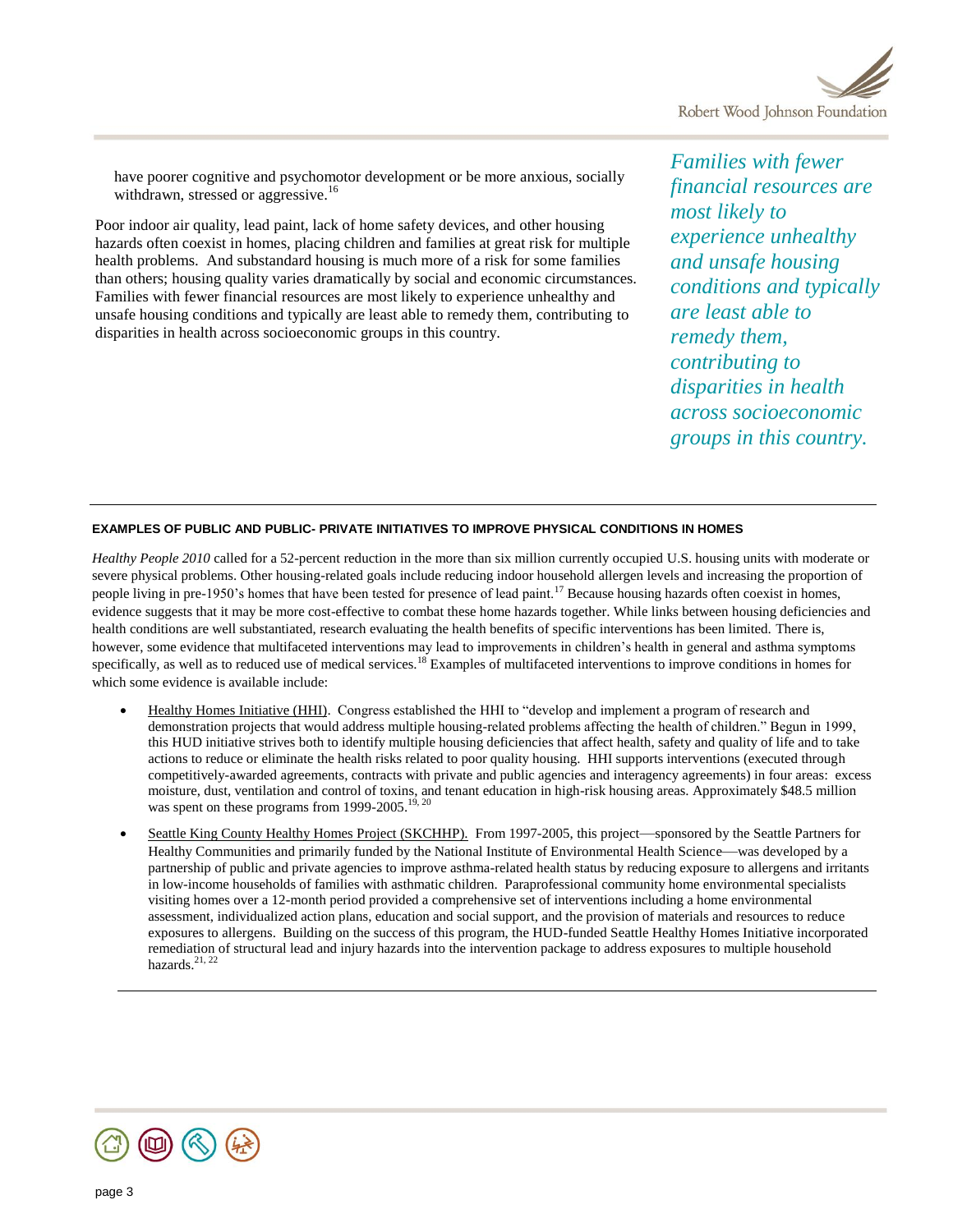

have poorer cognitive and psychomotor development or be more anxious, socially withdrawn, stressed or aggressive.<sup>16</sup>

Poor indoor air quality, lead paint, lack of home safety devices, and other housing hazards often coexist in homes, placing children and families at great risk for multiple health problems. And substandard housing is much more of a risk for some families than others; housing quality varies dramatically by social and economic circumstances. Families with fewer financial resources are most likely to experience unhealthy and unsafe housing conditions and typically are least able to remedy them, contributing to disparities in health across socioeconomic groups in this country.

*Families with fewer financial resources are most likely to experience unhealthy and unsafe housing conditions and typically are least able to remedy them, contributing to disparities in health across socioeconomic groups in this country.*

#### **EXAMPLES OF PUBLIC AND PUBLIC- PRIVATE INITIATIVES TO IMPROVE PHYSICAL CONDITIONS IN HOMES**

*Healthy People 2010* called for a 52-percent reduction in the more than six million currently occupied U.S. housing units with moderate or severe physical problems. Other housing-related goals include reducing indoor household allergen levels and increasing the proportion of people living in pre-1950's homes that have been tested for presence of lead paint.<sup>17</sup> Because housing hazards often coexist in homes, evidence suggests that it may be more cost-effective to combat these home hazards together. While links between housing deficiencies and health conditions are well substantiated, research evaluating the health benefits of specific interventions has been limited. There is, however, some evidence that multifaceted interventions may lead to improvements in children's health in general and asthma symptoms specifically, as well as to reduced use of medical services.<sup>18</sup> Examples of multifaceted interventions to improve conditions in homes for which some evidence is available include:

- Healthy Homes Initiative (HHI).Congress established the HHI to "develop and implement a program of research and demonstration projects that would address multiple housing-related problems affecting the health of children." Begun in 1999, this HUD initiative strives both to identify multiple housing deficiencies that affect health, safety and quality of life and to take actions to reduce or eliminate the health risks related to poor quality housing. HHI supports interventions (executed through competitively-awarded agreements, contracts with private and public agencies and interagency agreements) in four areas: excess moisture, dust, ventilation and control of toxins, and tenant education in high-risk housing areas. Approximately \$48.5 million was spent on these programs from 1999-2005.<sup>19, 20</sup>
- Seattle King County Healthy Homes Project (SKCHHP). From 1997-2005, this project—sponsored by the Seattle Partners for Healthy Communities and primarily funded by the National Institute of Environmental Health Science—was developed by a partnership of public and private agencies to improve asthma-related health status by reducing exposure to allergens and irritants in low-income households of families with asthmatic children. Paraprofessional community home environmental specialists visiting homes over a 12-month period provided a comprehensive set of interventions including a home environmental assessment, individualized action plans, education and social support, and the provision of materials and resources to reduce exposures to allergens. Building on the success of this program, the HUD-funded Seattle Healthy Homes Initiative incorporated remediation of structural lead and injury hazards into the intervention package to address exposures to multiple household hazards.<sup>21, 22</sup>

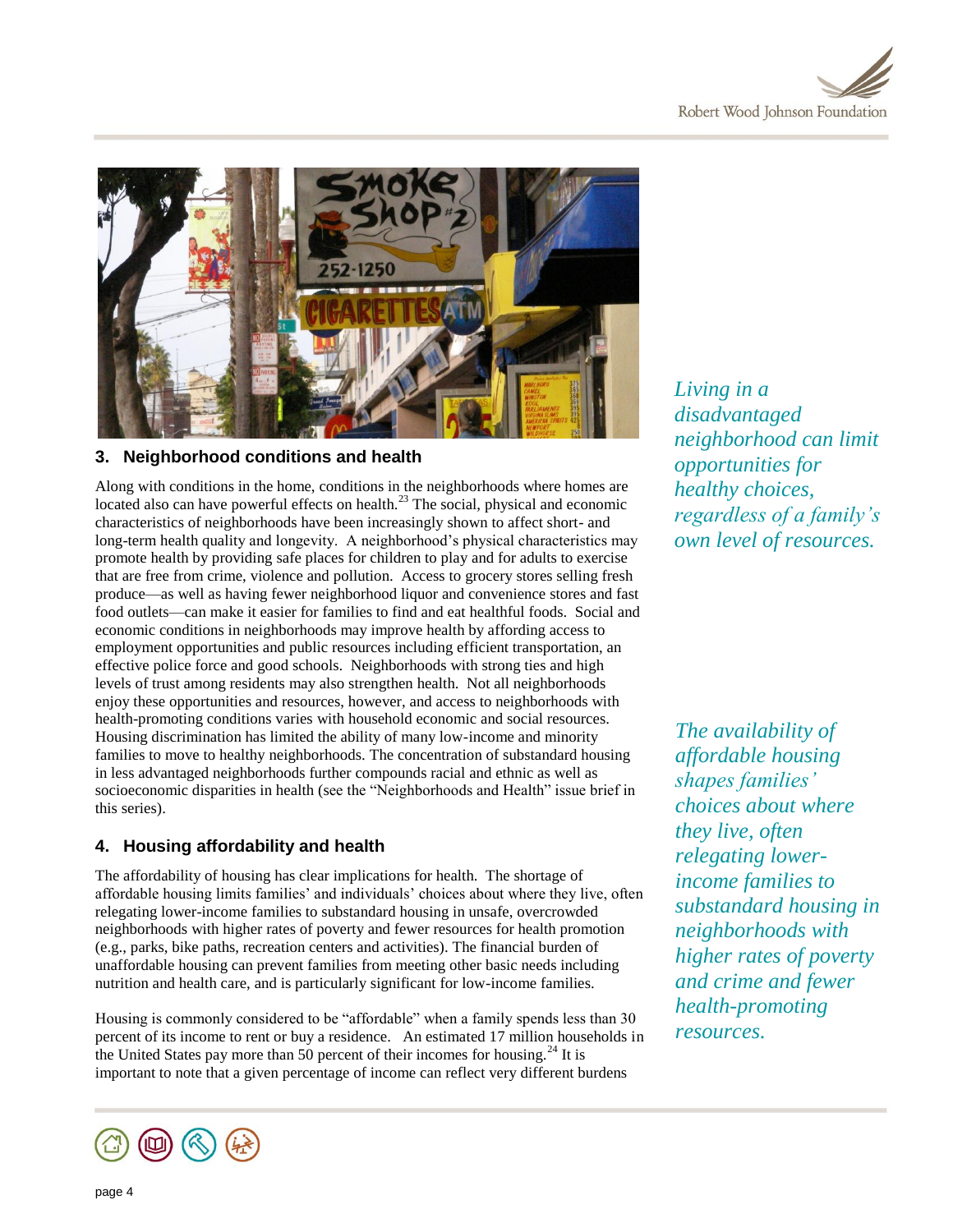



## **3. Neighborhood conditions and health**

Along with conditions in the home, conditions in the neighborhoods where homes are located also can have powerful effects on health.<sup>23</sup> The social, physical and economic characteristics of neighborhoods have been increasingly shown to affect short- and long-term health quality and longevity. A neighborhood's physical characteristics may promote health by providing safe places for children to play and for adults to exercise that are free from crime, violence and pollution. Access to grocery stores selling fresh produce—as well as having fewer neighborhood liquor and convenience stores and fast food outlets—can make it easier for families to find and eat healthful foods. Social and economic conditions in neighborhoods may improve health by affording access to employment opportunities and public resources including efficient transportation, an effective police force and good schools. Neighborhoods with strong ties and high levels of trust among residents may also strengthen health. Not all neighborhoods enjoy these opportunities and resources, however, and access to neighborhoods with health-promoting conditions varies with household economic and social resources. Housing discrimination has limited the ability of many low-income and minority families to move to healthy neighborhoods. The concentration of substandard housing in less advantaged neighborhoods further compounds racial and ethnic as well as socioeconomic disparities in health (see the "Neighborhoods and Health" issue brief in this series).

# **4. Housing affordability and health**

The affordability of housing has clear implications for health. The shortage of affordable housing limits families' and individuals' choices about where they live, often relegating lower-income families to substandard housing in unsafe, overcrowded neighborhoods with higher rates of poverty and fewer resources for health promotion (e.g., parks, bike paths, recreation centers and activities). The financial burden of unaffordable housing can prevent families from meeting other basic needs including nutrition and health care, and is particularly significant for low-income families.

Housing is commonly considered to be "affordable" when a family spends less than 30 percent of its income to rent or buy a residence. An estimated 17 million households in the United States pay more than 50 percent of their incomes for housing.<sup>24</sup> It is important to note that a given percentage of income can reflect very different burdens



*The availability of affordable housing shapes families' choices about where they live, often relegating lowerincome families to substandard housing in neighborhoods with higher rates of poverty and crime and fewer health-promoting resources.*

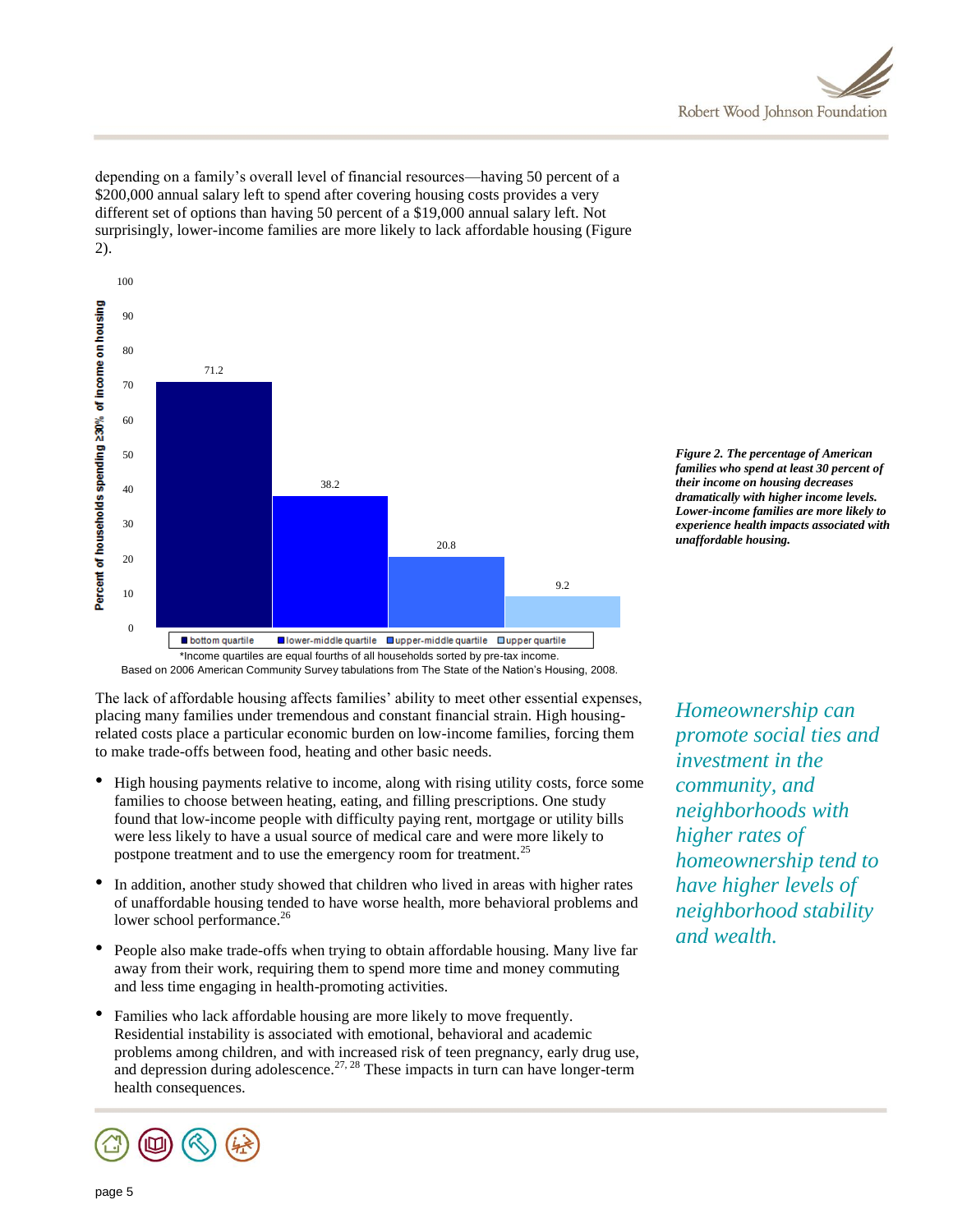

depending on a family's overall level of financial resources—having 50 percent of a \$200,000 annual salary left to spend after covering housing costs provides a very different set of options than having 50 percent of a \$19,000 annual salary left. Not surprisingly, lower-income families are more likely to lack affordable housing (Figure 2).



*Figure 2. The percentage of American families who spend at least 30 percent of their income on housing decreases dramatically with higher income levels. Lower-income families are more likely to experience health impacts associated with unaffordable housing.* 

Based on 2006 American Community Survey tabulations from The State of the Nation's Housing, 2008.

The lack of affordable housing affects families' ability to meet other essential expenses, placing many families under tremendous and constant financial strain. High housingrelated costs place a particular economic burden on low-income families, forcing them to make trade-offs between food, heating and other basic needs.

- High housing payments relative to income, along with rising utility costs, force some families to choose between heating, eating, and filling prescriptions. One study found that low-income people with difficulty paying rent, mortgage or utility bills were less likely to have a usual source of medical care and were more likely to postpone treatment and to use the emergency room for treatment.<sup>25</sup>
- In addition, another study showed that children who lived in areas with higher rates of unaffordable housing tended to have worse health, more behavioral problems and lower school performance.<sup>26</sup>
- People also make trade-offs when trying to obtain affordable housing. Many live far away from their work, requiring them to spend more time and money commuting and less time engaging in health-promoting activities.
- Families who lack affordable housing are more likely to move frequently. Residential instability is associated with emotional, behavioral and academic problems among children, and with increased risk of teen pregnancy, early drug use, and depression during adolescence.<sup>27, 28</sup> These impacts in turn can have longer-term health consequences.



*Homeownership can promote social ties and investment in the community, and neighborhoods with higher rates of homeownership tend to have higher levels of neighborhood stability and wealth.*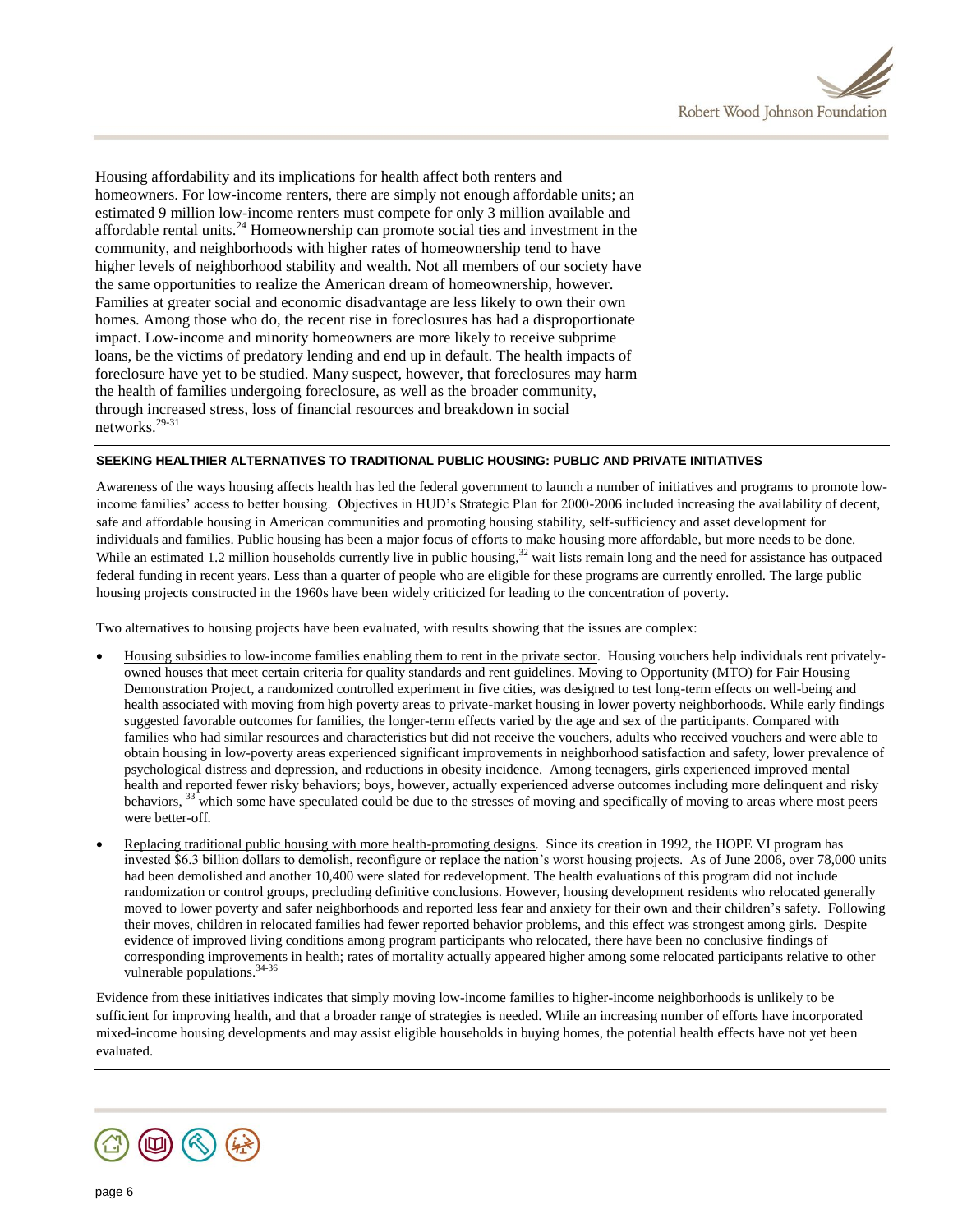

Housing affordability and its implications for health affect both renters and homeowners. For low-income renters, there are simply not enough affordable units; an estimated 9 million low-income renters must compete for only 3 million available and affordable rental units.<sup>24</sup> Homeownership can promote social ties and investment in the community, and neighborhoods with higher rates of homeownership tend to have higher levels of neighborhood stability and wealth. Not all members of our society have the same opportunities to realize the American dream of homeownership, however. Families at greater social and economic disadvantage are less likely to own their own homes. Among those who do, the recent rise in foreclosures has had a disproportionate impact. Low-income and minority homeowners are more likely to receive subprime loans, be the victims of predatory lending and end up in default. The health impacts of foreclosure have yet to be studied. Many suspect, however, that foreclosures may harm the health of families undergoing foreclosure, as well as the broader community, through increased stress, loss of financial resources and breakdown in social networks.29-31

#### **SEEKING HEALTHIER ALTERNATIVES TO TRADITIONAL PUBLIC HOUSING: PUBLIC AND PRIVATE INITIATIVES**

Awareness of the ways housing affects health has led the federal government to launch a number of initiatives and programs to promote lowincome families' access to better housing. Objectives in HUD's Strategic Plan for 2000-2006 included increasing the availability of decent, safe and affordable housing in American communities and promoting housing stability, self-sufficiency and asset development for individuals and families. Public housing has been a major focus of efforts to make housing more affordable, but more needs to be done. While an estimated 1.2 million households currently live in public housing,<sup>32</sup> wait lists remain long and the need for assistance has outpaced federal funding in recent years. Less than a quarter of people who are eligible for these programs are currently enrolled. The large public housing projects constructed in the 1960s have been widely criticized for leading to the concentration of poverty.

Two alternatives to housing projects have been evaluated, with results showing that the issues are complex:

- Housing subsidies to low-income families enabling them to rent in the private sector. Housing vouchers help individuals rent privatelyowned houses that meet certain criteria for quality standards and rent guidelines. Moving to Opportunity (MTO) for Fair Housing Demonstration Project*,* a randomized controlled experiment in five cities, was designed to test long-term effects on well-being and health associated with moving from high poverty areas to private-market housing in lower poverty neighborhoods. While early findings suggested favorable outcomes for families, the longer-term effects varied by the age and sex of the participants. Compared with families who had similar resources and characteristics but did not receive the vouchers, adults who received vouchers and were able to obtain housing in low-poverty areas experienced significant improvements in neighborhood satisfaction and safety, lower prevalence of psychological distress and depression, and reductions in obesity incidence. Among teenagers, girls experienced improved mental health and reported fewer risky behaviors; boys, however, actually experienced adverse outcomes including more delinquent and risky behaviors, <sup>33</sup> which some have speculated could be due to the stresses of moving and specifically of moving to areas where most peers were better-off.
- Replacing traditional public housing with more health-promoting designs. Since its creation in 1992, the HOPE VI program has invested \$6.3 billion dollars to demolish, reconfigure or replace the nation's worst housing projects. As of June 2006, over 78,000 units had been demolished and another 10,400 were slated for redevelopment. The health evaluations of this program did not include randomization or control groups, precluding definitive conclusions. However, housing development residents who relocated generally moved to lower poverty and safer neighborhoods and reported less fear and anxiety for their own and their children's safety. Following their moves, children in relocated families had fewer reported behavior problems, and this effect was strongest among girls. Despite evidence of improved living conditions among program participants who relocated, there have been no conclusive findings of corresponding improvements in health; rates of mortality actually appeared higher among some relocated participants relative to other vulnerable populations.<sup>34-36</sup>

Evidence from these initiatives indicates that simply moving low-income families to higher-income neighborhoods is unlikely to be sufficient for improving health, and that a broader range of strategies is needed. While an increasing number of efforts have incorporated mixed-income housing developments and may assist eligible households in buying homes, the potential health effects have not yet been evaluated.

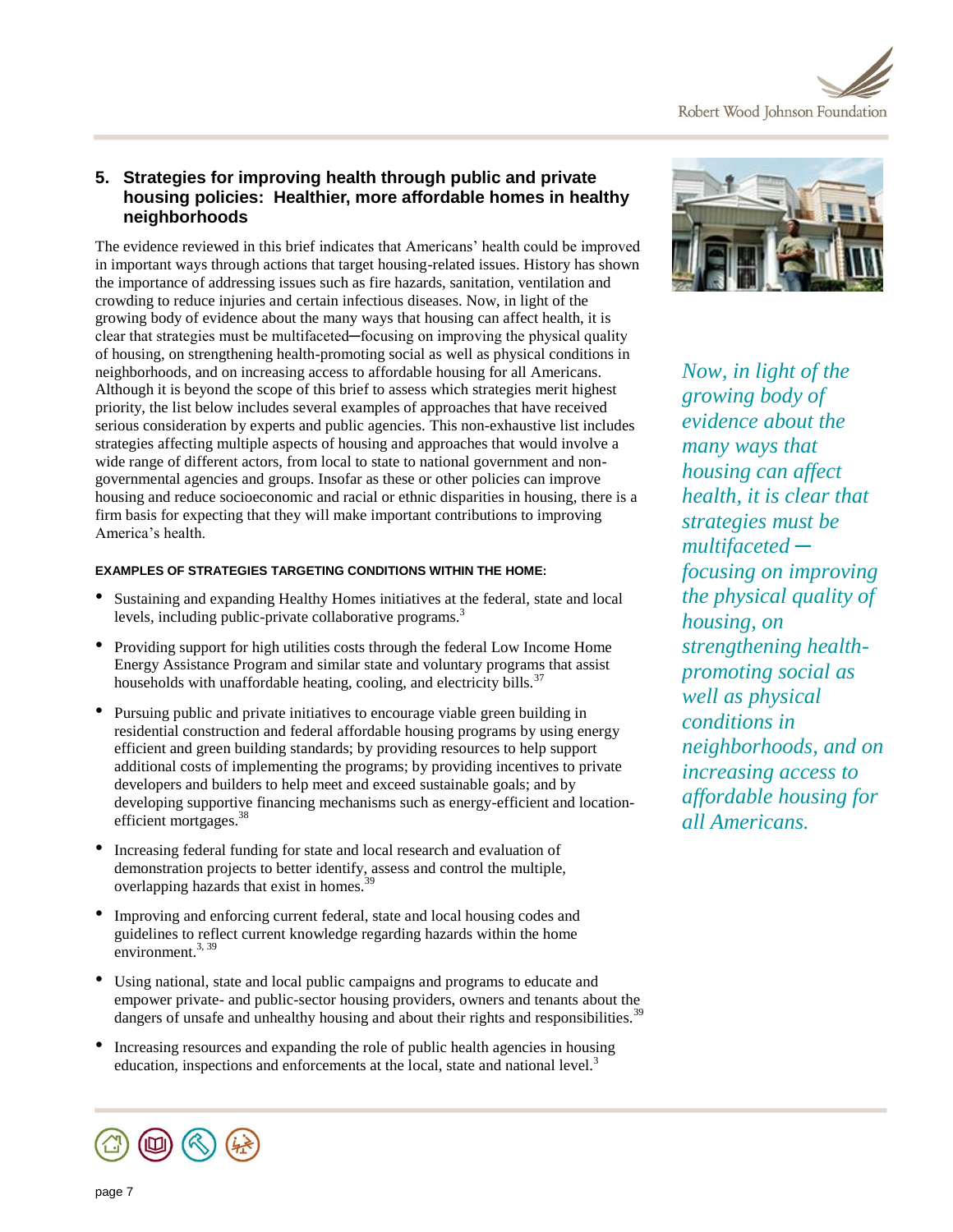

# **5. Strategies for improving health through public and private housing policies: Healthier, more affordable homes in healthy neighborhoods**

The evidence reviewed in this brief indicates that Americans' health could be improved in important ways through actions that target housing-related issues. History has shown the importance of addressing issues such as fire hazards, sanitation, ventilation and crowding to reduce injuries and certain infectious diseases. Now, in light of the growing body of evidence about the many ways that housing can affect health, it is clear that strategies must be multifaceted—focusing on improving the physical quality of housing, on strengthening health-promoting social as well as physical conditions in neighborhoods, and on increasing access to affordable housing for all Americans. Although it is beyond the scope of this brief to assess which strategies merit highest priority, the list below includes several examples of approaches that have received serious consideration by experts and public agencies. This non-exhaustive list includes strategies affecting multiple aspects of housing and approaches that would involve a wide range of different actors, from local to state to national government and nongovernmental agencies and groups. Insofar as these or other policies can improve housing and reduce socioeconomic and racial or ethnic disparities in housing, there is a firm basis for expecting that they will make important contributions to improving America's health.

## **EXAMPLES OF STRATEGIES TARGETING CONDITIONS WITHIN THE HOME:**

- Sustaining and expanding Healthy Homes initiatives at the federal, state and local levels, including public-private collaborative programs.<sup>3</sup>
- Providing support for high utilities costs through the federal Low Income Home Energy Assistance Program and similar state and voluntary programs that assist households with unaffordable heating, cooling, and electricity bills. $37$
- Pursuing public and private initiatives to encourage viable green building in residential construction and federal affordable housing programs by using energy efficient and green building standards; by providing resources to help support additional costs of implementing the programs; by providing incentives to private developers and builders to help meet and exceed sustainable goals; and by developing supportive financing mechanisms such as energy-efficient and locationefficient mortgages.<sup>38</sup>
- Increasing federal funding for state and local research and evaluation of demonstration projects to better identify, assess and control the multiple, overlapping hazards that exist in homes.<sup>3</sup>
- Improving and enforcing current federal, state and local housing codes and guidelines to reflect current knowledge regarding hazards within the home environment. $3,39$
- Using national, state and local public campaigns and programs to educate and empower private- and public-sector housing providers, owners and tenants about the dangers of unsafe and unhealthy housing and about their rights and responsibilities.<sup>39</sup>
- Increasing resources and expanding the role of public health agencies in housing education, inspections and enforcements at the local, state and national level.<sup>3</sup>





*Now, in light of the growing body of evidence about the many ways that housing can affect health, it is clear that strategies must be multifaceted ─ focusing on improving the physical quality of housing, on strengthening healthpromoting social as well as physical conditions in neighborhoods, and on increasing access to affordable housing for all Americans.*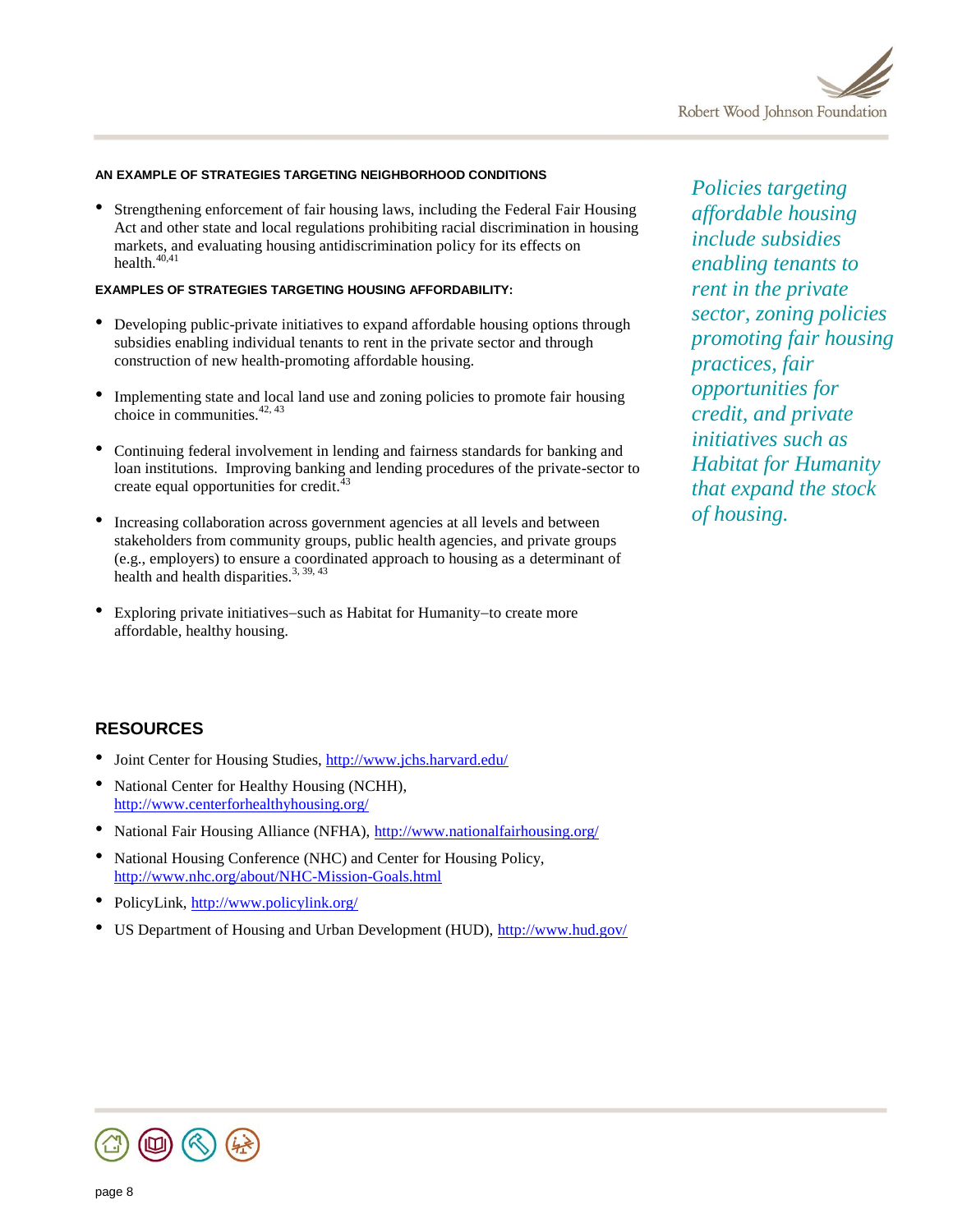

## **AN EXAMPLE OF STRATEGIES TARGETING NEIGHBORHOOD CONDITIONS**

• Strengthening enforcement of fair housing laws, including the Federal Fair Housing Act and other state and local regulations prohibiting racial discrimination in housing markets, and evaluating housing antidiscrimination policy for its effects on health.<sup>40,41</sup>

#### **EXAMPLES OF STRATEGIES TARGETING HOUSING AFFORDABILITY:**

- Developing public-private initiatives to expand affordable housing options through subsidies enabling individual tenants to rent in the private sector and through construction of new health-promoting affordable housing.
- Implementing state and local land use and zoning policies to promote fair housing choice in communities. $42, 43$
- Continuing federal involvement in lending and fairness standards for banking and loan institutions. Improving banking and lending procedures of the private-sector to create equal opportunities for credit.<sup>43</sup>
- Increasing collaboration across government agencies at all levels and between stakeholders from community groups, public health agencies, and private groups (e.g., employers) to ensure a coordinated approach to housing as a determinant of health and health disparities. $3, 39, 43$
- Exploring private initiatives-such as Habitat for Humanity-to create more affordable, healthy housing.

*Policies targeting affordable housing include subsidies enabling tenants to rent in the private sector, zoning policies promoting fair housing practices, fair opportunities for credit, and private initiatives such as Habitat for Humanity that expand the stock of housing.* 

## **RESOURCES**

- Joint Center for Housing Studies, <http://www.jchs.harvard.edu/>
- National Center for Healthy Housing (NCHH), <http://www.centerforhealthyhousing.org/>
- National Fair Housing Alliance (NFHA),<http://www.nationalfairhousing.org/>
- National Housing Conference (NHC) and Center for Housing Policy, <http://www.nhc.org/about/NHC-Mission-Goals.html>
- PolicyLink,<http://www.policylink.org/>
- US Department of Housing and Urban Development (HUD),<http://www.hud.gov/>

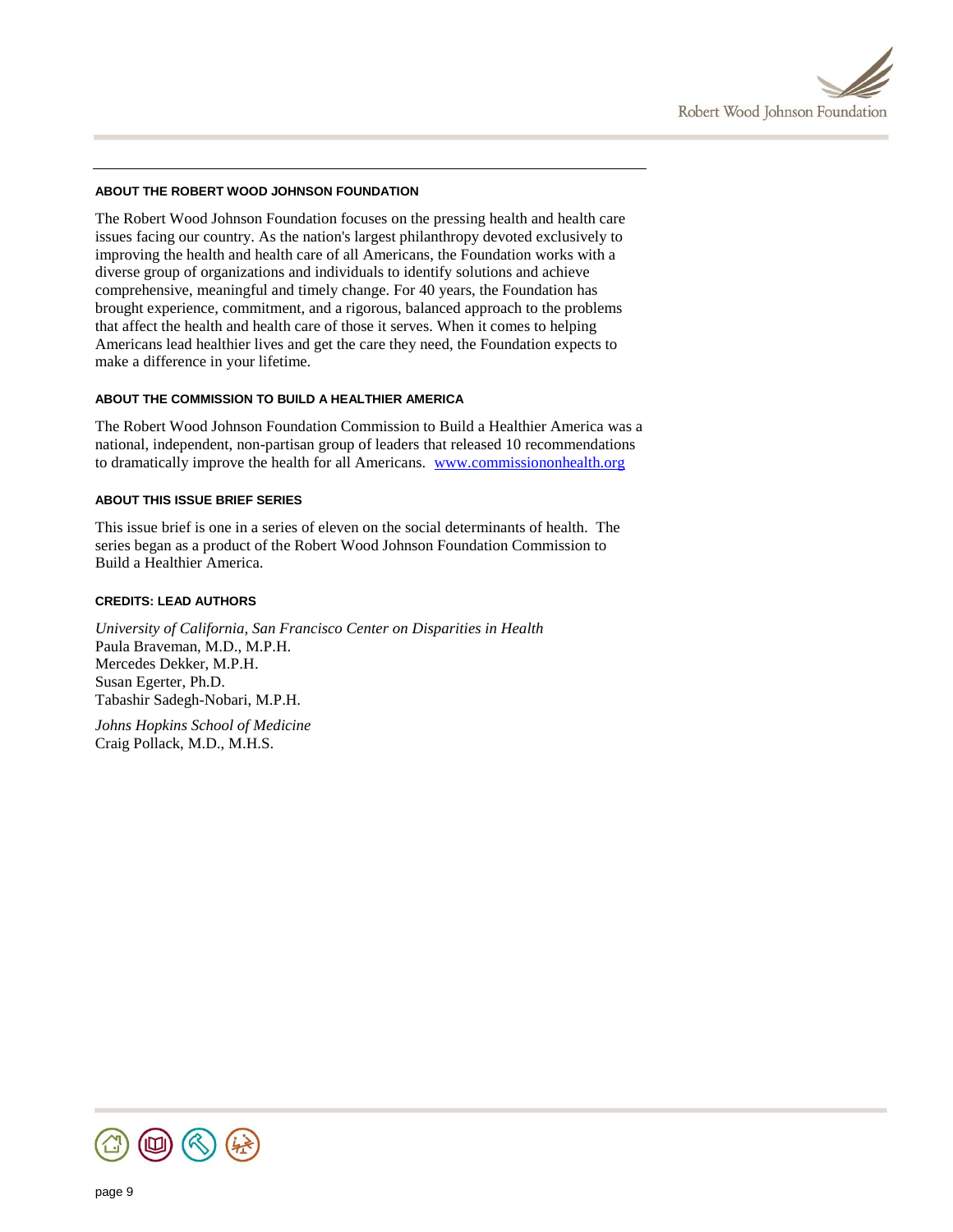

## **ABOUT THE ROBERT WOOD JOHNSON FOUNDATION**

The Robert Wood Johnson Foundation focuses on the pressing health and health care issues facing our country. As the nation's largest philanthropy devoted exclusively to improving the health and health care of all Americans, the Foundation works with a diverse group of organizations and individuals to identify solutions and achieve comprehensive, meaningful and timely change. For 40 years, the Foundation has brought experience, commitment, and a rigorous, balanced approach to the problems that affect the health and health care of those it serves. When it comes to helping Americans lead healthier lives and get the care they need, the Foundation expects to make a difference in your lifetime.

## **ABOUT THE COMMISSION TO BUILD A HEALTHIER AMERICA**

The Robert Wood Johnson Foundation Commission to Build a Healthier America was a national, independent, non-partisan group of leaders that released 10 recommendations to dramatically improve the health for all Americans. [www.commissiononhealth.org](http://www.commissiononhealth.org/)

## **ABOUT THIS ISSUE BRIEF SERIES**

This issue brief is one in a series of eleven on the social determinants of health. The series began as a product of the Robert Wood Johnson Foundation Commission to Build a Healthier America.

## **CREDITS: LEAD AUTHORS**

*University of California, San Francisco Center on Disparities in Health* Paula Braveman, M.D., M.P.H. Mercedes Dekker, M.P.H. Susan Egerter, Ph.D. Tabashir Sadegh-Nobari, M.P.H.

*Johns Hopkins School of Medicine* Craig Pollack, M.D., M.H.S.

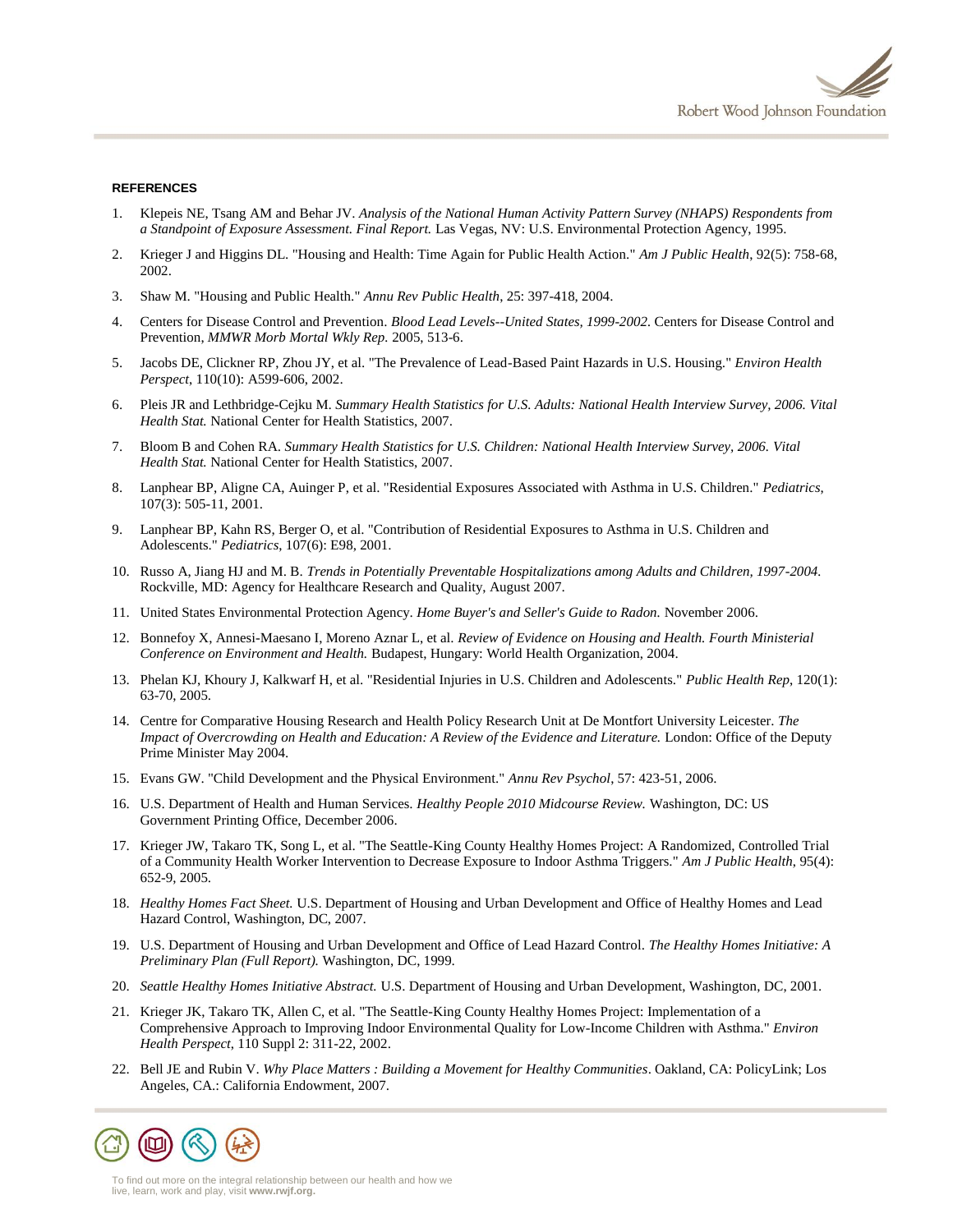#### **REFERENCES**

- 1. Klepeis NE, Tsang AM and Behar JV. *Analysis of the National Human Activity Pattern Survey (NHAPS) Respondents from a Standpoint of Exposure Assessment. Final Report.* Las Vegas, NV: U.S. Environmental Protection Agency, 1995.
- 2. Krieger J and Higgins DL. "Housing and Health: Time Again for Public Health Action." *Am J Public Health*, 92(5): 758-68, 2002.
- 3. Shaw M. "Housing and Public Health." *Annu Rev Public Health*, 25: 397-418, 2004.
- 4. Centers for Disease Control and Prevention. *Blood Lead Levels--United States, 1999-2002.* Centers for Disease Control and Prevention, *MMWR Morb Mortal Wkly Rep.* 2005, 513-6.
- 5. Jacobs DE, Clickner RP, Zhou JY, et al. "The Prevalence of Lead-Based Paint Hazards in U.S. Housing." *Environ Health Perspect*, 110(10): A599-606, 2002.
- 6. Pleis JR and Lethbridge-Cejku M. *Summary Health Statistics for U.S. Adults: National Health Interview Survey, 2006. Vital Health Stat.* National Center for Health Statistics, 2007.
- 7. Bloom B and Cohen RA. *Summary Health Statistics for U.S. Children: National Health Interview Survey, 2006. Vital Health Stat.* National Center for Health Statistics, 2007.
- 8. Lanphear BP, Aligne CA, Auinger P, et al. "Residential Exposures Associated with Asthma in U.S. Children." *Pediatrics*, 107(3): 505-11, 2001.
- 9. Lanphear BP, Kahn RS, Berger O, et al. "Contribution of Residential Exposures to Asthma in U.S. Children and Adolescents." *Pediatrics*, 107(6): E98, 2001.
- 10. Russo A, Jiang HJ and M. B. *Trends in Potentially Preventable Hospitalizations among Adults and Children, 1997-2004.* Rockville, MD: Agency for Healthcare Research and Quality, August 2007.
- 11. United States Environmental Protection Agency. *Home Buyer's and Seller's Guide to Radon.* November 2006.
- 12. Bonnefoy X, Annesi-Maesano I, Moreno Aznar L, et al. *Review of Evidence on Housing and Health. Fourth Ministerial Conference on Environment and Health.* Budapest, Hungary: World Health Organization, 2004.
- 13. Phelan KJ, Khoury J, Kalkwarf H, et al. "Residential Injuries in U.S. Children and Adolescents." *Public Health Rep*, 120(1): 63-70, 2005.
- 14. Centre for Comparative Housing Research and Health Policy Research Unit at De Montfort University Leicester. *The Impact of Overcrowding on Health and Education: A Review of the Evidence and Literature.* London: Office of the Deputy Prime Minister May 2004.
- 15. Evans GW. "Child Development and the Physical Environment." *Annu Rev Psychol*, 57: 423-51, 2006.
- 16. U.S. Department of Health and Human Services. *Healthy People 2010 Midcourse Review.* Washington, DC: US Government Printing Office, December 2006.
- 17. Krieger JW, Takaro TK, Song L, et al. "The Seattle-King County Healthy Homes Project: A Randomized, Controlled Trial of a Community Health Worker Intervention to Decrease Exposure to Indoor Asthma Triggers." *Am J Public Health*, 95(4): 652-9, 2005.
- 18. *Healthy Homes Fact Sheet.* U.S. Department of Housing and Urban Development and Office of Healthy Homes and Lead Hazard Control, Washington, DC, 2007.
- 19. U.S. Department of Housing and Urban Development and Office of Lead Hazard Control. *The Healthy Homes Initiative: A Preliminary Plan (Full Report).* Washington, DC, 1999.
- 20. *Seattle Healthy Homes Initiative Abstract.* U.S. Department of Housing and Urban Development, Washington, DC, 2001.
- 21. Krieger JK, Takaro TK, Allen C, et al. "The Seattle-King County Healthy Homes Project: Implementation of a Comprehensive Approach to Improving Indoor Environmental Quality for Low-Income Children with Asthma." *Environ Health Perspect*, 110 Suppl 2: 311-22, 2002.
- 22. Bell JE and Rubin V. *Why Place Matters : Building a Movement for Healthy Communities*. Oakland, CA: PolicyLink; Los Angeles, CA.: California Endowment, 2007.